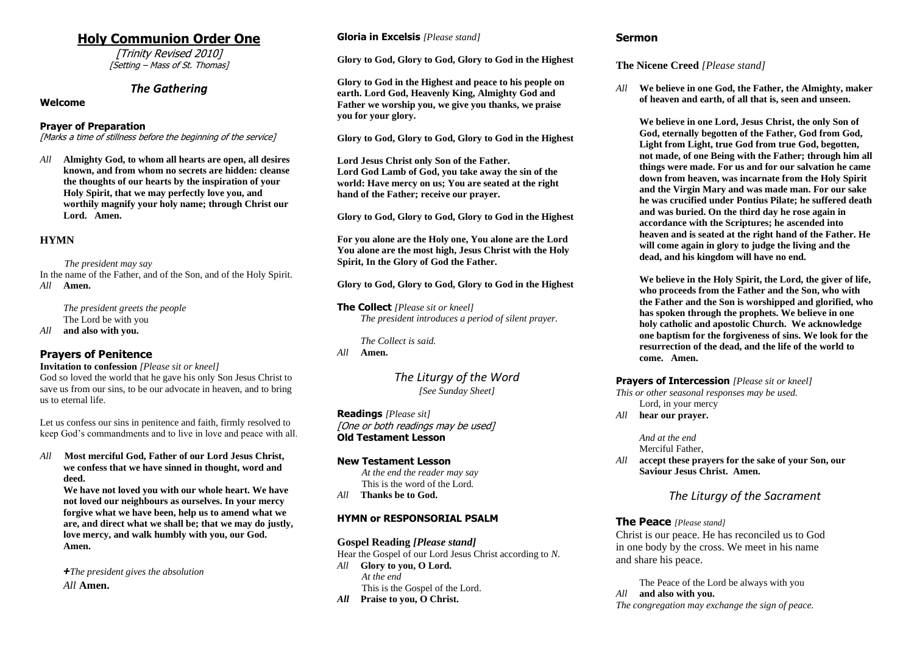# **Holy Communion Order One**

[Trinity Revised 2010] [Setting – Mass of St. Thomas]

# *The Gathering*

## **Welcome**

## **Prayer of Preparation**

[Marks a time of stillness before the beginning of the service]

*All* **Almighty God, to whom all hearts are open, all desires known, and from whom no secrets are hidden: cleanse the thoughts of our hearts by the inspiration of your Holy Spirit, that we may perfectly love you, and worthily magnify your holy name; through Christ our Lord. Amen.**

# **HYMN**

*The president may say*

In the name of the Father, and of the Son, and of the Holy Spirit. *All* **Amen.**

*The president greets the people* The Lord be with you *All* **and also with you.**

# **Prayers of Penitence**

**Invitation to confession** *[Please sit or kneel]* God so loved the world that he gave his only Son Jesus Christ to save us from our sins, to be our advocate in heaven, and to bring us to eternal life.

Let us confess our sins in penitence and faith, firmly resolved to keep God's commandments and to live in love and peace with all.

*All* **Most merciful God, Father of our Lord Jesus Christ, we confess that we have sinned in thought, word and deed.** 

**We have not loved you with our whole heart. We have not loved our neighbours as ourselves. In your mercy forgive what we have been, help us to amend what we are, and direct what we shall be; that we may do justly, love mercy, and walk humbly with you, our God. Amen.**

*+The president gives the absolution All* **Amen.**

## **Gloria in Excelsis** *[Please stand]*

**Glory to God, Glory to God, Glory to God in the Highest**

**Glory to God in the Highest and peace to his people on earth. Lord God, Heavenly King, Almighty God and Father we worship you, we give you thanks, we praise you for your glory.**

**Glory to God, Glory to God, Glory to God in the Highest**

**Lord Jesus Christ only Son of the Father. Lord God Lamb of God, you take away the sin of the world: Have mercy on us; You are seated at the right hand of the Father; receive our prayer.**

**Glory to God, Glory to God, Glory to God in the Highest**

**For you alone are the Holy one, You alone are the Lord You alone are the most high, Jesus Christ with the Holy Spirit, In the Glory of God the Father.**

**Glory to God, Glory to God, Glory to God in the Highest**

**The Collect** *[Please sit or kneel] The president introduces a period of silent prayer.*

*The Collect is said.* 

*All* **Amen.**

*The Liturgy of the Word [See Sunday Sheet]*

**Readings** *[Please sit]* [One or both readings may be used] **Old Testament Lesson**

## **New Testament Lesson**

*At the end the reader may say* This is the word of the Lord. *All* **Thanks be to God.**

## **HYMN or RESPONSORIAL PSALM**

**Gospel Reading** *[Please stand]*

Hear the Gospel of our Lord Jesus Christ according to *N*. *All* **Glory to you, O Lord.** *At the end* This is the Gospel of the Lord. *All* **Praise to you, O Christ.**

# **Sermon**

## **The Nicene Creed** *[Please stand]*

*All* **We believe in one God, the Father, the Almighty, maker of heaven and earth, of all that is, seen and unseen.**

**We believe in one Lord, Jesus Christ, the only Son of God, eternally begotten of the Father, God from God, Light from Light, true God from true God, begotten, not made, of one Being with the Father; through him all things were made. For us and for our salvation he came down from heaven, was incarnate from the Holy Spirit and the Virgin Mary and was made man. For our sake he was crucified under Pontius Pilate; he suffered death and was buried. On the third day he rose again in accordance with the Scriptures; he ascended into heaven and is seated at the right hand of the Father. He will come again in glory to judge the living and the dead, and his kingdom will have no end.**

**We believe in the Holy Spirit, the Lord, the giver of life, who proceeds from the Father and the Son, who with the Father and the Son is worshipped and glorified, who has spoken through the prophets. We believe in one holy catholic and apostolic Church. We acknowledge one baptism for the forgiveness of sins. We look for the resurrection of the dead, and the life of the world to come. Amen.**

## **Prayers of Intercession** *[Please sit or kneel]*

*This or other seasonal responses may be used.*

Lord, in your mercy

*All* **hear our prayer.**

*And at the end* Merciful Father,

*All* **accept these prayers for the sake of your Son, our Saviour Jesus Christ. Amen.**

# *The Liturgy of the Sacrament*

## **The Peace** *[Please stand]*

Christ is our peace. He has reconciled us to God in one body by the cross. We meet in his name and share his peace.

The Peace of the Lord be always with you *All* **and also with you.** *The congregation may exchange the sign of peace.*